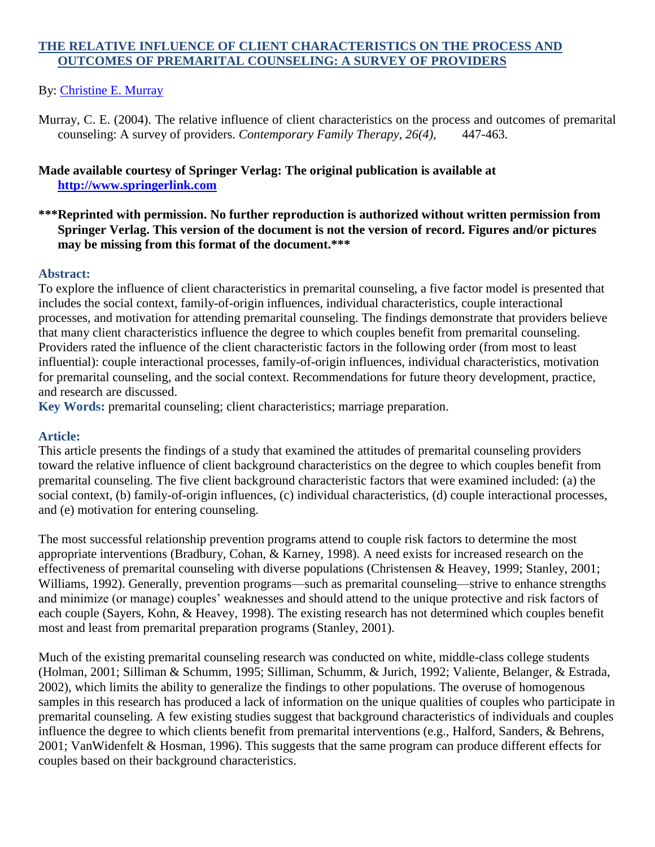# **THE RELATIVE INFLUENCE OF CLIENT CHARACTERISTICS ON THE PROCESS AND OUTCOMES OF PREMARITAL COUNSELING: A SURVEY OF PROVIDERS**

### By: Christine [E. Murray](http://libres.uncg.edu/ir/uncg/clist.aspx?id=894)

Murray, C. E. (2004). The relative influence of client characteristics on the process and outcomes of premarital counseling: A survey of providers. *Contemporary Family Therapy, 26(4),* 447-463.

# **Made available courtesy of Springer Verlag: The original publication is available at [http://www.springerlink.com](http://www.springerlink.com/)**

## **\*\*\*Reprinted with permission. No further reproduction is authorized without written permission from Springer Verlag. This version of the document is not the version of record. Figures and/or pictures may be missing from this format of the document.\*\*\***

### **Abstract:**

To explore the influence of client characteristics in premarital counseling, a five factor model is presented that includes the social context, family-of-origin influences, individual characteristics, couple interactional processes, and motivation for attending premarital counseling. The findings demonstrate that providers believe that many client characteristics influence the degree to which couples benefit from premarital counseling. Providers rated the influence of the client characteristic factors in the following order (from most to least influential): couple interactional processes, family-of-origin influences, individual characteristics, motivation for premarital counseling, and the social context. Recommendations for future theory development, practice, and research are discussed.

**Key Words:** premarital counseling; client characteristics; marriage preparation.

## **Article:**

This article presents the findings of a study that examined the attitudes of premarital counseling providers toward the relative influence of client background characteristics on the degree to which couples benefit from premarital counseling. The five client background characteristic factors that were examined included: (a) the social context, (b) family-of-origin influences, (c) individual characteristics, (d) couple interactional processes, and (e) motivation for entering counseling.

The most successful relationship prevention programs attend to couple risk factors to determine the most appropriate interventions (Bradbury, Cohan, & Karney, 1998). A need exists for increased research on the effectiveness of premarital counseling with diverse populations (Christensen & Heavey, 1999; Stanley, 2001; Williams, 1992). Generally, prevention programs—such as premarital counseling—strive to enhance strengths and minimize (or manage) couples' weaknesses and should attend to the unique protective and risk factors of each couple (Sayers, Kohn, & Heavey, 1998). The existing research has not determined which couples benefit most and least from premarital preparation programs (Stanley, 2001).

Much of the existing premarital counseling research was conducted on white, middle-class college students (Holman, 2001; Silliman & Schumm, 1995; Silliman, Schumm, & Jurich, 1992; Valiente, Belanger, & Estrada, 2002), which limits the ability to generalize the findings to other populations. The overuse of homogenous samples in this research has produced a lack of information on the unique qualities of couples who participate in premarital counseling. A few existing studies suggest that background characteristics of individuals and couples influence the degree to which clients benefit from premarital interventions (e.g., Halford, Sanders, & Behrens, 2001; VanWidenfelt & Hosman, 1996). This suggests that the same program can produce different effects for couples based on their background characteristics.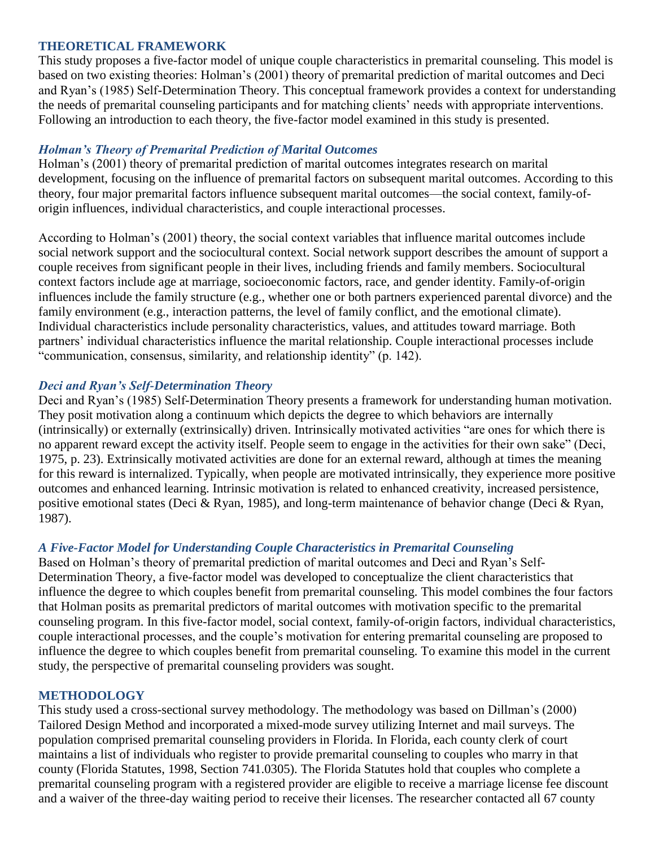### **THEORETICAL FRAMEWORK**

This study proposes a five-factor model of unique couple characteristics in premarital counseling. This model is based on two existing theories: Holman's (2001) theory of premarital prediction of marital outcomes and Deci and Ryan's (1985) Self-Determination Theory. This conceptual framework provides a context for understanding the needs of premarital counseling participants and for matching clients' needs with appropriate interventions. Following an introduction to each theory, the five-factor model examined in this study is presented.

## *Holman's Theory of Premarital Prediction of Marital Outcomes*

Holman's (2001) theory of premarital prediction of marital outcomes integrates research on marital development, focusing on the influence of premarital factors on subsequent marital outcomes. According to this theory, four major premarital factors influence subsequent marital outcomes—the social context, family-oforigin influences, individual characteristics, and couple interactional processes.

According to Holman's (2001) theory, the social context variables that influence marital outcomes include social network support and the sociocultural context. Social network support describes the amount of support a couple receives from significant people in their lives, including friends and family members. Sociocultural context factors include age at marriage, socioeconomic factors, race, and gender identity. Family-of-origin influences include the family structure (e.g., whether one or both partners experienced parental divorce) and the family environment (e.g., interaction patterns, the level of family conflict, and the emotional climate). Individual characteristics include personality characteristics, values, and attitudes toward marriage. Both partners' individual characteristics influence the marital relationship. Couple interactional processes include "communication, consensus, similarity, and relationship identity" (p. 142).

### *Deci and Ryan's Self-Determination Theory*

Deci and Ryan's (1985) Self-Determination Theory presents a framework for understanding human motivation. They posit motivation along a continuum which depicts the degree to which behaviors are internally (intrinsically) or externally (extrinsically) driven. Intrinsically motivated activities "are ones for which there is no apparent reward except the activity itself. People seem to engage in the activities for their own sake" (Deci, 1975, p. 23). Extrinsically motivated activities are done for an external reward, although at times the meaning for this reward is internalized. Typically, when people are motivated intrinsically, they experience more positive outcomes and enhanced learning. Intrinsic motivation is related to enhanced creativity, increased persistence, positive emotional states (Deci & Ryan, 1985), and long-term maintenance of behavior change (Deci & Ryan, 1987).

## *A Five-Factor Model for Understanding Couple Characteristics in Premarital Counseling*

Based on Holman's theory of premarital prediction of marital outcomes and Deci and Ryan's Self-Determination Theory, a five-factor model was developed to conceptualize the client characteristics that influence the degree to which couples benefit from premarital counseling. This model combines the four factors that Holman posits as premarital predictors of marital outcomes with motivation specific to the premarital counseling program. In this five-factor model, social context, family-of-origin factors, individual characteristics, couple interactional processes, and the couple's motivation for entering premarital counseling are proposed to influence the degree to which couples benefit from premarital counseling. To examine this model in the current study, the perspective of premarital counseling providers was sought.

### **METHODOLOGY**

This study used a cross-sectional survey methodology. The methodology was based on Dillman's (2000) Tailored Design Method and incorporated a mixed-mode survey utilizing Internet and mail surveys. The population comprised premarital counseling providers in Florida. In Florida, each county clerk of court maintains a list of individuals who register to provide premarital counseling to couples who marry in that county (Florida Statutes, 1998, Section 741.0305). The Florida Statutes hold that couples who complete a premarital counseling program with a registered provider are eligible to receive a marriage license fee discount and a waiver of the three-day waiting period to receive their licenses. The researcher contacted all 67 county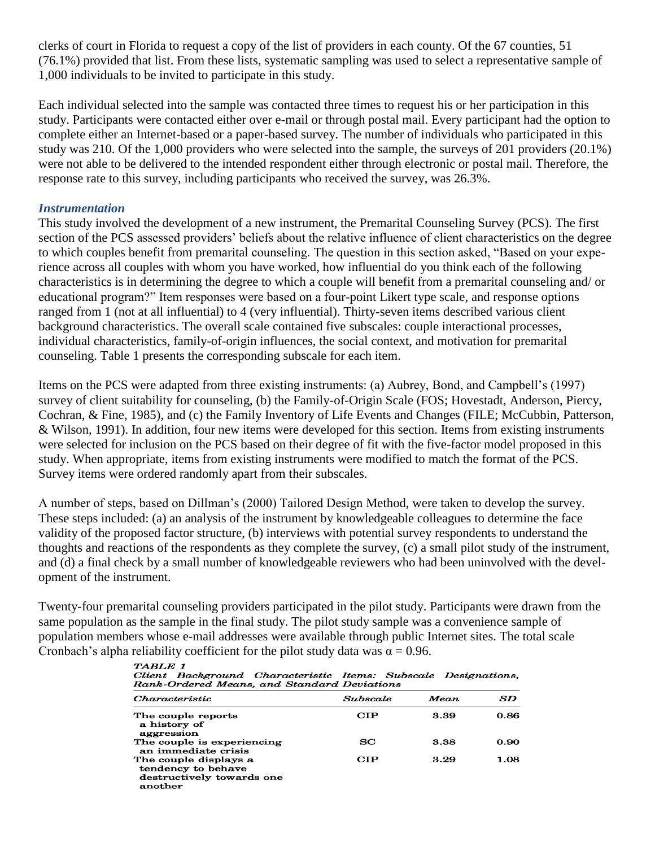clerks of court in Florida to request a copy of the list of providers in each county. Of the 67 counties, 51 (76.1%) provided that list. From these lists, systematic sampling was used to select a representative sample of 1,000 individuals to be invited to participate in this study.

Each individual selected into the sample was contacted three times to request his or her participation in this study. Participants were contacted either over e-mail or through postal mail. Every participant had the option to complete either an Internet-based or a paper-based survey. The number of individuals who participated in this study was 210. Of the 1,000 providers who were selected into the sample, the surveys of 201 providers (20.1%) were not able to be delivered to the intended respondent either through electronic or postal mail. Therefore, the response rate to this survey, including participants who received the survey, was 26.3%.

### *Instrumentation*

This study involved the development of a new instrument, the Premarital Counseling Survey (PCS). The first section of the PCS assessed providers' beliefs about the relative influence of client characteristics on the degree to which couples benefit from premarital counseling. The question in this section asked, "Based on your experience across all couples with whom you have worked, how influential do you think each of the following characteristics is in determining the degree to which a couple will benefit from a premarital counseling and/ or educational program?" Item responses were based on a four-point Likert type scale, and response options ranged from 1 (not at all influential) to 4 (very influential). Thirty-seven items described various client background characteristics. The overall scale contained five subscales: couple interactional processes, individual characteristics, family-of-origin influences, the social context, and motivation for premarital counseling. Table 1 presents the corresponding subscale for each item.

Items on the PCS were adapted from three existing instruments: (a) Aubrey, Bond, and Campbell's (1997) survey of client suitability for counseling, (b) the Family-of-Origin Scale (FOS; Hovestadt, Anderson, Piercy, Cochran, & Fine, 1985), and (c) the Family Inventory of Life Events and Changes (FILE; McCubbin, Patterson, & Wilson, 1991). In addition, four new items were developed for this section. Items from existing instruments were selected for inclusion on the PCS based on their degree of fit with the five-factor model proposed in this study. When appropriate, items from existing instruments were modified to match the format of the PCS. Survey items were ordered randomly apart from their subscales.

A number of steps, based on Dillman's (2000) Tailored Design Method, were taken to develop the survey. These steps included: (a) an analysis of the instrument by knowledgeable colleagues to determine the face validity of the proposed factor structure, (b) interviews with potential survey respondents to understand the thoughts and reactions of the respondents as they complete the survey, (c) a small pilot study of the instrument, and (d) a final check by a small number of knowledgeable reviewers who had been uninvolved with the development of the instrument.

Twenty-four premarital counseling providers participated in the pilot study. Participants were drawn from the same population as the sample in the final study. The pilot study sample was a convenience sample of population members whose e-mail addresses were available through public Internet sites. The total scale Cronbach's alpha reliability coefficient for the pilot study data was  $\alpha = 0.96$ .

TABLE 1

| Client Background Characteristic Items: Subscale Designations,<br>Rank-Ordered Means, and Standard Deviations |             |      |         |
|---------------------------------------------------------------------------------------------------------------|-------------|------|---------|
| Characteristic                                                                                                | Subscale    | Mean | $_{SD}$ |
| The couple reports<br>a history of<br>aggression                                                              | CIP         | 3.39 | 0.86    |
| The couple is experiencing<br>an immediate crisis                                                             | $_{\rm SC}$ | 3.38 | 0.90    |
| The couple displays a<br>tendency to behave<br>destructively towards one<br>another                           | CIP         | 3.29 | 1.08    |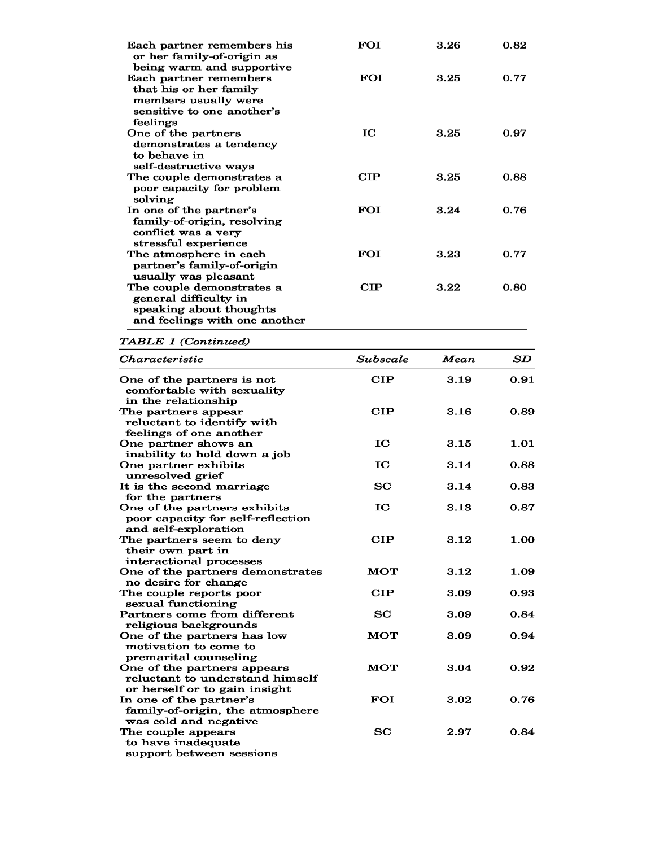| Each partner remembers his<br>or her family-of-origin as<br>being warm and supportive                          | <b>FOI</b>     | 3.26 | 0.82 |
|----------------------------------------------------------------------------------------------------------------|----------------|------|------|
| Each partner remembers                                                                                         | <b>FOI</b>     | 3.25 | 0.77 |
| that his or her family                                                                                         |                |      |      |
| members usually were                                                                                           |                |      |      |
| sensitive to one another's                                                                                     |                |      |      |
| feelings                                                                                                       |                |      |      |
| One of the partners                                                                                            | IC             | 3.25 | 0.97 |
| demonstrates a tendency                                                                                        |                |      |      |
| to behave in                                                                                                   |                |      |      |
| self-destructive ways                                                                                          |                |      |      |
| The couple demonstrates a<br>poor capacity for problem<br>solving                                              | $\mathbf{CIP}$ | 3.25 | 0.88 |
| In one of the partner's                                                                                        | <b>FOI</b>     | 3.24 | 0.76 |
| family-of-origin, resolving<br>conflict was a very<br>stressful experience                                     |                |      |      |
| The atmosphere in each<br>partner's family-of-origin<br>usually was pleasant                                   | <b>FOI</b>     | 3.23 | 0.77 |
| The couple demonstrates a<br>general difficulty in<br>speaking about thoughts<br>and feelings with one another | $_{\rm CIP}$   | 3.22 | 0.80 |

TABLE 1 (Continued)

| Characteristic                                                                                      | Subscale       | Mean | SD   |
|-----------------------------------------------------------------------------------------------------|----------------|------|------|
| One of the partners is not<br>comfortable with sexuality                                            | CIP            | 3.19 | 0.91 |
| in the relationship<br>The partners appear<br>reluctant to identify with<br>feelings of one another | CIP            | 3.16 | 0.89 |
| One partner shows an<br>inability to hold down a job                                                | IC             | 3.15 | 1.01 |
| One partner exhibits<br>unresolved grief                                                            | IC             | 3.14 | 0.88 |
| It is the second marriage<br>for the partners                                                       | SC             | 3.14 | 0.83 |
| One of the partners exhibits<br>poor capacity for self-reflection<br>and self-exploration           | IC             | 3.13 | 0.87 |
| The partners seem to deny<br>their own part in<br>interactional processes                           | $\mathbf{CIP}$ | 3.12 | 1.00 |
| One of the partners demonstrates<br>no desire for change                                            | <b>MOT</b>     | 3.12 | 1.09 |
| The couple reports poor<br>sexual functioning                                                       | $_{\rm CIP}$   | 3.09 | 0.93 |
| Partners come from different<br>religious backgrounds                                               | SC             | 3.09 | 0.84 |
| One of the partners has low<br>motivation to come to<br>premarital counseling                       | <b>MOT</b>     | 3.09 | 0.94 |
| One of the partners appears<br>reluctant to understand himself<br>or herself or to gain insight     | <b>MOT</b>     | 3.04 | 0.92 |
| In one of the partner's<br>family-of-origin, the atmosphere<br>was cold and negative                | <b>FOI</b>     | 3.02 | 0.76 |
| The couple appears<br>to have inadequate<br>support between sessions                                | SC             | 2.97 | 0.84 |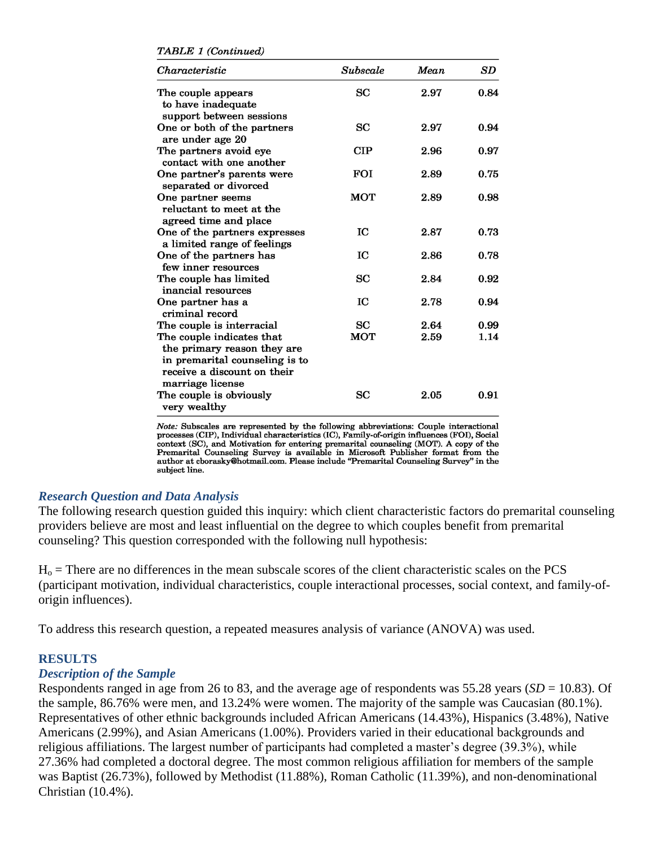TABLE 1 (Continued)

| ${\it Characteristic}$         | Subscale    | Mean | SD   |
|--------------------------------|-------------|------|------|
| The couple appears             | SC          | 2.97 | 0.84 |
| to have inadequate             |             |      |      |
| support between sessions       |             |      |      |
| One or both of the partners    | SC          | 2.97 | 0.94 |
| are under age 20               |             |      |      |
| The partners avoid eye         | CIP         | 2.96 | 0.97 |
| contact with one another       |             |      |      |
| One partner's parents were     | <b>FOI</b>  | 2.89 | 0.75 |
| separated or divorced          |             |      |      |
| One partner seems              | <b>MOT</b>  | 2.89 | 0.98 |
| reluctant to meet at the       |             |      |      |
| agreed time and place          |             |      |      |
| One of the partners expresses  | IC          | 2.87 | 0.73 |
| a limited range of feelings    |             |      |      |
| One of the partners has        | IC          | 2.86 | 0.78 |
| few inner resources            |             |      |      |
| The couple has limited         | SC          | 2.84 | 0.92 |
| inancial resources             |             |      |      |
| One partner has a              | IC          | 2.78 | 0.94 |
| criminal record                |             |      |      |
| The couple is interracial      | SC          | 2.64 | 0.99 |
| The couple indicates that      | <b>MOT</b>  | 2.59 | 1.14 |
| the primary reason they are    |             |      |      |
| in premarital counseling is to |             |      |      |
| receive a discount on their    |             |      |      |
| marriage license               |             |      |      |
| The couple is obviously        | $_{\rm sc}$ | 2.05 | 0.91 |
| very wealthy                   |             |      |      |

Note: Subscales are represented by the following abbreviations: Couple interactional processes (CIP), Individual characteristics (IC), Family-of-origin influences (FOI), Social context (SC), and Motivation for entering premarital counseling (MOT). A copy of the Premarital Counseling Survey is available in Microsoft Publisher format from the author at cborasky@hotmail.com. Please include "Premarital Counseling Survey" in the subject line.

#### *Research Question and Data Analysis*

The following research question guided this inquiry: which client characteristic factors do premarital counseling providers believe are most and least influential on the degree to which couples benefit from premarital counseling? This question corresponded with the following null hypothesis:

 $H<sub>o</sub>$  = There are no differences in the mean subscale scores of the client characteristic scales on the PCS (participant motivation, individual characteristics, couple interactional processes, social context, and family-oforigin influences).

To address this research question, a repeated measures analysis of variance (ANOVA) was used.

#### **RESULTS**

#### *Description of the Sample*

Respondents ranged in age from 26 to 83, and the average age of respondents was 55.28 years (*SD* = 10.83). Of the sample, 86.76% were men, and 13.24% were women. The majority of the sample was Caucasian (80.1%). Representatives of other ethnic backgrounds included African Americans (14.43%), Hispanics (3.48%), Native Americans (2.99%), and Asian Americans (1.00%). Providers varied in their educational backgrounds and religious affiliations. The largest number of participants had completed a master's degree (39.3%), while 27.36% had completed a doctoral degree. The most common religious affiliation for members of the sample was Baptist (26.73%), followed by Methodist (11.88%), Roman Catholic (11.39%), and non-denominational Christian (10.4%).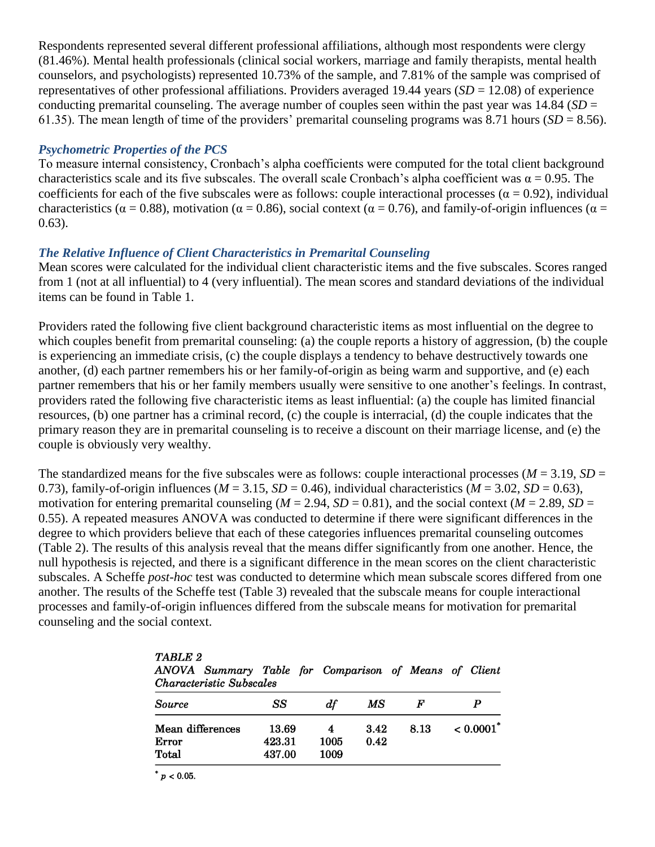Respondents represented several different professional affiliations, although most respondents were clergy (81.46%). Mental health professionals (clinical social workers, marriage and family therapists, mental health counselors, and psychologists) represented 10.73% of the sample, and 7.81% of the sample was comprised of representatives of other professional affiliations. Providers averaged 19.44 years (*SD* = 12.08) of experience conducting premarital counseling. The average number of couples seen within the past year was 14.84 (*SD* = 61.35). The mean length of time of the providers' premarital counseling programs was 8.71 hours  $(SD = 8.56)$ .

### *Psychometric Properties of the PCS*

To measure internal consistency, Cronbach's alpha coefficients were computed for the total client background characteristics scale and its five subscales. The overall scale Cronbach's alpha coefficient was  $\alpha = 0.95$ . The coefficients for each of the five subscales were as follows: couple interactional processes ( $\alpha = 0.92$ ), individual characteristics ( $\alpha = 0.88$ ), motivation ( $\alpha = 0.86$ ), social context ( $\alpha = 0.76$ ), and family-of-origin influences ( $\alpha =$ 0.63).

### *The Relative Influence of Client Characteristics in Premarital Counseling*

Mean scores were calculated for the individual client characteristic items and the five subscales. Scores ranged from 1 (not at all influential) to 4 (very influential). The mean scores and standard deviations of the individual items can be found in Table 1.

Providers rated the following five client background characteristic items as most influential on the degree to which couples benefit from premarital counseling: (a) the couple reports a history of aggression, (b) the couple is experiencing an immediate crisis, (c) the couple displays a tendency to behave destructively towards one another, (d) each partner remembers his or her family-of-origin as being warm and supportive, and (e) each partner remembers that his or her family members usually were sensitive to one another's feelings. In contrast, providers rated the following five characteristic items as least influential: (a) the couple has limited financial resources, (b) one partner has a criminal record, (c) the couple is interracial, (d) the couple indicates that the primary reason they are in premarital counseling is to receive a discount on their marriage license, and (e) the couple is obviously very wealthy.

The standardized means for the five subscales were as follows: couple interactional processes ( $M = 3.19$ ,  $SD =$ 0.73), family-of-origin influences ( $M = 3.15$ ,  $SD = 0.46$ ), individual characteristics ( $M = 3.02$ ,  $SD = 0.63$ ), motivation for entering premarital counseling ( $M = 2.94$ ,  $SD = 0.81$ ), and the social context ( $M = 2.89$ ,  $SD =$ 0.55). A repeated measures ANOVA was conducted to determine if there were significant differences in the degree to which providers believe that each of these categories influences premarital counseling outcomes (Table 2). The results of this analysis reveal that the means differ significantly from one another. Hence, the null hypothesis is rejected, and there is a significant difference in the mean scores on the client characteristic subscales. A Scheffe *post*-*hoc* test was conducted to determine which mean subscale scores differed from one another. The results of the Scheffe test (Table 3) revealed that the subscale means for couple interactional processes and family-of-origin influences differed from the subscale means for motivation for premarital counseling and the social context.

| TABLE 2<br>ANOVA Summary Table for Comparison of Means of Client<br><b>Characteristic Subscales</b> |                           |                   |              |      |                         |
|-----------------------------------------------------------------------------------------------------|---------------------------|-------------------|--------------|------|-------------------------|
| <b>Source</b>                                                                                       | SS                        | df                | МS           | F    |                         |
| Mean differences<br>Error<br>Total                                                                  | 13.69<br>423.31<br>437.00 | 4<br>1005<br>1009 | 3.42<br>0.42 | 8.13 | $< 0.0001$ <sup>*</sup> |

 $^* p < 0.05$ .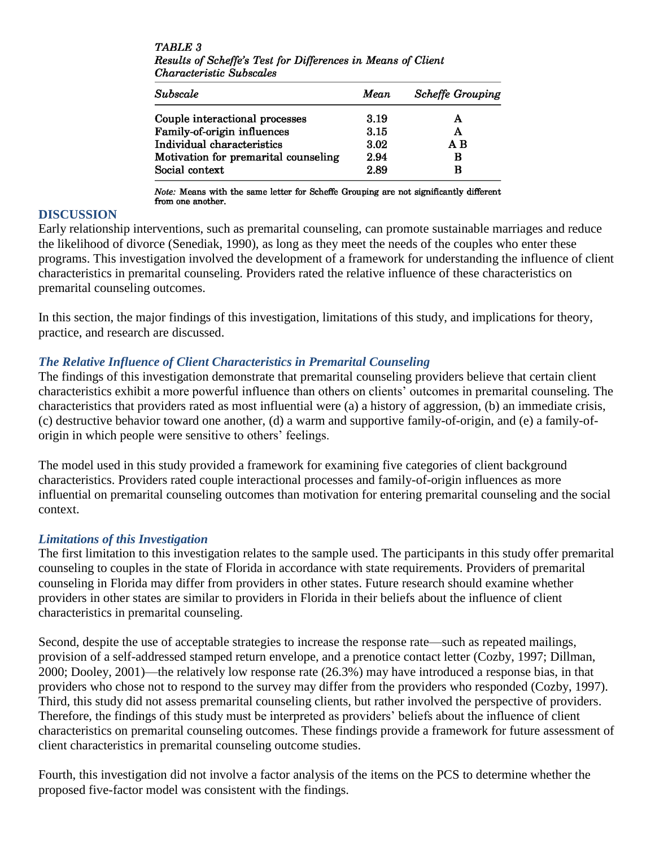| Subscale                             | Mean | <b>Scheffe Grouping</b> |  |
|--------------------------------------|------|-------------------------|--|
| Couple interactional processes       | 3.19 | А                       |  |
| Family-of-origin influences          | 3.15 | А                       |  |
| Individual characteristics           | 3.02 | ΑR                      |  |
| Motivation for premarital counseling | 2.94 | В                       |  |
| Social context                       | 2.89 | в                       |  |

TABLE 3 Results of Scheffe's Test for Differences in Means of Client Characteristic Subscales

Note: Means with the same letter for Scheffe Grouping are not significantly different from one another.

### **DISCUSSION**

Early relationship interventions, such as premarital counseling, can promote sustainable marriages and reduce the likelihood of divorce (Senediak, 1990), as long as they meet the needs of the couples who enter these programs. This investigation involved the development of a framework for understanding the influence of client characteristics in premarital counseling. Providers rated the relative influence of these characteristics on premarital counseling outcomes.

In this section, the major findings of this investigation, limitations of this study, and implications for theory, practice, and research are discussed.

# *The Relative Influence of Client Characteristics in Premarital Counseling*

The findings of this investigation demonstrate that premarital counseling providers believe that certain client characteristics exhibit a more powerful influence than others on clients' outcomes in premarital counseling. The characteristics that providers rated as most influential were (a) a history of aggression, (b) an immediate crisis, (c) destructive behavior toward one another, (d) a warm and supportive family-of-origin, and (e) a family-oforigin in which people were sensitive to others' feelings.

The model used in this study provided a framework for examining five categories of client background characteristics. Providers rated couple interactional processes and family-of-origin influences as more influential on premarital counseling outcomes than motivation for entering premarital counseling and the social context.

## *Limitations of this Investigation*

The first limitation to this investigation relates to the sample used. The participants in this study offer premarital counseling to couples in the state of Florida in accordance with state requirements. Providers of premarital counseling in Florida may differ from providers in other states. Future research should examine whether providers in other states are similar to providers in Florida in their beliefs about the influence of client characteristics in premarital counseling.

Second, despite the use of acceptable strategies to increase the response rate—such as repeated mailings, provision of a self-addressed stamped return envelope, and a prenotice contact letter (Cozby, 1997; Dillman, 2000; Dooley, 2001)—the relatively low response rate (26.3%) may have introduced a response bias, in that providers who chose not to respond to the survey may differ from the providers who responded (Cozby, 1997). Third, this study did not assess premarital counseling clients, but rather involved the perspective of providers. Therefore, the findings of this study must be interpreted as providers' beliefs about the influence of client characteristics on premarital counseling outcomes. These findings provide a framework for future assessment of client characteristics in premarital counseling outcome studies.

Fourth, this investigation did not involve a factor analysis of the items on the PCS to determine whether the proposed five-factor model was consistent with the findings.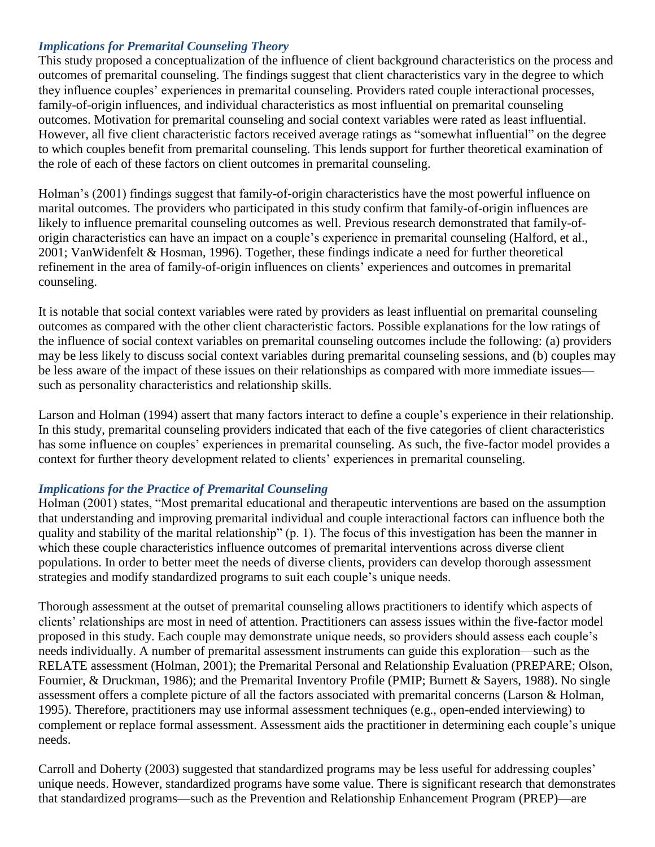# *Implications for Premarital Counseling Theory*

This study proposed a conceptualization of the influence of client background characteristics on the process and outcomes of premarital counseling. The findings suggest that client characteristics vary in the degree to which they influence couples' experiences in premarital counseling. Providers rated couple interactional processes, family-of-origin influences, and individual characteristics as most influential on premarital counseling outcomes. Motivation for premarital counseling and social context variables were rated as least influential. However, all five client characteristic factors received average ratings as "somewhat influential" on the degree to which couples benefit from premarital counseling. This lends support for further theoretical examination of the role of each of these factors on client outcomes in premarital counseling.

Holman's (2001) findings suggest that family-of-origin characteristics have the most powerful influence on marital outcomes. The providers who participated in this study confirm that family-of-origin influences are likely to influence premarital counseling outcomes as well. Previous research demonstrated that family-oforigin characteristics can have an impact on a couple's experience in premarital counseling (Halford, et al., 2001; VanWidenfelt & Hosman, 1996). Together, these findings indicate a need for further theoretical refinement in the area of family-of-origin influences on clients' experiences and outcomes in premarital counseling.

It is notable that social context variables were rated by providers as least influential on premarital counseling outcomes as compared with the other client characteristic factors. Possible explanations for the low ratings of the influence of social context variables on premarital counseling outcomes include the following: (a) providers may be less likely to discuss social context variables during premarital counseling sessions, and (b) couples may be less aware of the impact of these issues on their relationships as compared with more immediate issues such as personality characteristics and relationship skills.

Larson and Holman (1994) assert that many factors interact to define a couple's experience in their relationship. In this study, premarital counseling providers indicated that each of the five categories of client characteristics has some influence on couples' experiences in premarital counseling. As such, the five-factor model provides a context for further theory development related to clients' experiences in premarital counseling.

## *Implications for the Practice of Premarital Counseling*

Holman (2001) states, "Most premarital educational and therapeutic interventions are based on the assumption that understanding and improving premarital individual and couple interactional factors can influence both the quality and stability of the marital relationship"  $(p, 1)$ . The focus of this investigation has been the manner in which these couple characteristics influence outcomes of premarital interventions across diverse client populations. In order to better meet the needs of diverse clients, providers can develop thorough assessment strategies and modify standardized programs to suit each couple's unique needs.

Thorough assessment at the outset of premarital counseling allows practitioners to identify which aspects of clients' relationships are most in need of attention. Practitioners can assess issues within the five-factor model proposed in this study. Each couple may demonstrate unique needs, so providers should assess each couple's needs individually. A number of premarital assessment instruments can guide this exploration—such as the RELATE assessment (Holman, 2001); the Premarital Personal and Relationship Evaluation (PREPARE; Olson, Fournier, & Druckman, 1986); and the Premarital Inventory Profile (PMIP; Burnett & Sayers, 1988). No single assessment offers a complete picture of all the factors associated with premarital concerns (Larson & Holman, 1995). Therefore, practitioners may use informal assessment techniques (e.g., open-ended interviewing) to complement or replace formal assessment. Assessment aids the practitioner in determining each couple's unique needs.

Carroll and Doherty (2003) suggested that standardized programs may be less useful for addressing couples' unique needs. However, standardized programs have some value. There is significant research that demonstrates that standardized programs—such as the Prevention and Relationship Enhancement Program (PREP)—are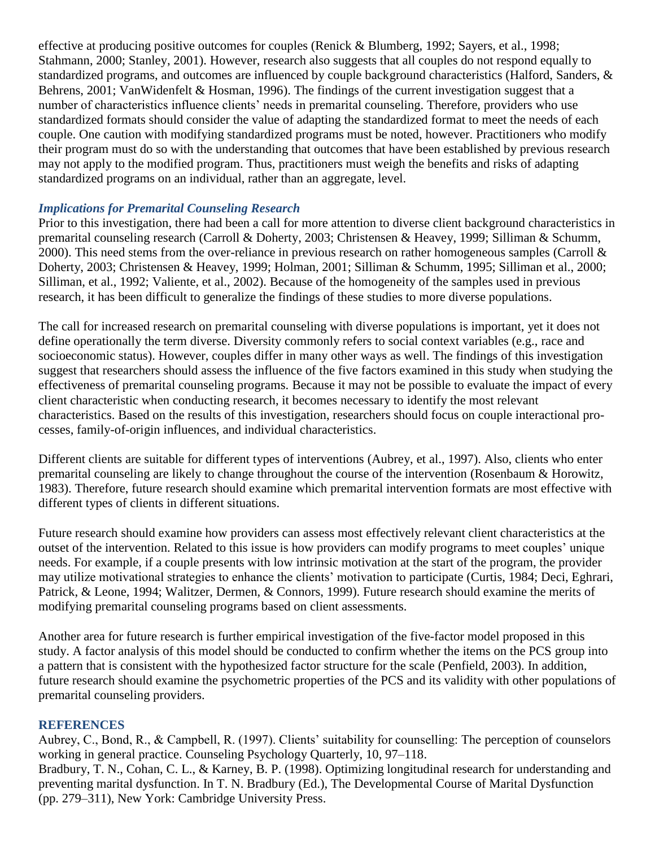effective at producing positive outcomes for couples (Renick & Blumberg, 1992; Sayers, et al., 1998; Stahmann, 2000; Stanley, 2001). However, research also suggests that all couples do not respond equally to standardized programs, and outcomes are influenced by couple background characteristics (Halford, Sanders, & Behrens, 2001; VanWidenfelt & Hosman, 1996). The findings of the current investigation suggest that a number of characteristics influence clients' needs in premarital counseling. Therefore, providers who use standardized formats should consider the value of adapting the standardized format to meet the needs of each couple. One caution with modifying standardized programs must be noted, however. Practitioners who modify their program must do so with the understanding that outcomes that have been established by previous research may not apply to the modified program. Thus, practitioners must weigh the benefits and risks of adapting standardized programs on an individual, rather than an aggregate, level.

# *Implications for Premarital Counseling Research*

Prior to this investigation, there had been a call for more attention to diverse client background characteristics in premarital counseling research (Carroll & Doherty, 2003; Christensen & Heavey, 1999; Silliman & Schumm, 2000). This need stems from the over-reliance in previous research on rather homogeneous samples (Carroll & Doherty, 2003; Christensen & Heavey, 1999; Holman, 2001; Silliman & Schumm, 1995; Silliman et al., 2000; Silliman, et al., 1992; Valiente, et al., 2002). Because of the homogeneity of the samples used in previous research, it has been difficult to generalize the findings of these studies to more diverse populations.

The call for increased research on premarital counseling with diverse populations is important, yet it does not define operationally the term diverse. Diversity commonly refers to social context variables (e.g., race and socioeconomic status). However, couples differ in many other ways as well. The findings of this investigation suggest that researchers should assess the influence of the five factors examined in this study when studying the effectiveness of premarital counseling programs. Because it may not be possible to evaluate the impact of every client characteristic when conducting research, it becomes necessary to identify the most relevant characteristics. Based on the results of this investigation, researchers should focus on couple interactional processes, family-of-origin influences, and individual characteristics.

Different clients are suitable for different types of interventions (Aubrey, et al., 1997). Also, clients who enter premarital counseling are likely to change throughout the course of the intervention (Rosenbaum & Horowitz, 1983). Therefore, future research should examine which premarital intervention formats are most effective with different types of clients in different situations.

Future research should examine how providers can assess most effectively relevant client characteristics at the outset of the intervention. Related to this issue is how providers can modify programs to meet couples' unique needs. For example, if a couple presents with low intrinsic motivation at the start of the program, the provider may utilize motivational strategies to enhance the clients' motivation to participate (Curtis, 1984; Deci, Eghrari, Patrick, & Leone, 1994; Walitzer, Dermen, & Connors, 1999). Future research should examine the merits of modifying premarital counseling programs based on client assessments.

Another area for future research is further empirical investigation of the five-factor model proposed in this study. A factor analysis of this model should be conducted to confirm whether the items on the PCS group into a pattern that is consistent with the hypothesized factor structure for the scale (Penfield, 2003). In addition, future research should examine the psychometric properties of the PCS and its validity with other populations of premarital counseling providers.

## **REFERENCES**

Aubrey, C., Bond, R., & Campbell, R. (1997). Clients' suitability for counselling: The perception of counselors working in general practice. Counseling Psychology Quarterly, 10, 97–118. Bradbury, T. N., Cohan, C. L., & Karney, B. P. (1998). Optimizing longitudinal research for understanding and preventing marital dysfunction. In T. N. Bradbury (Ed.), The Developmental Course of Marital Dysfunction (pp. 279–311), New York: Cambridge University Press.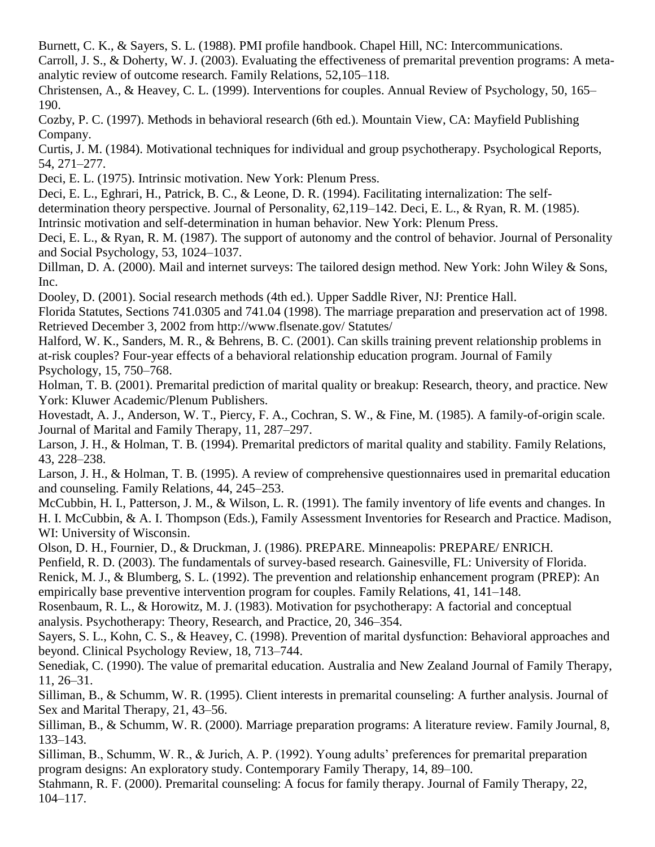Burnett, C. K., & Sayers, S. L. (1988). PMI profile handbook. Chapel Hill, NC: Intercommunications.

Carroll, J. S., & Doherty, W. J. (2003). Evaluating the effectiveness of premarital prevention programs: A metaanalytic review of outcome research. Family Relations, 52,105–118.

Christensen, A., & Heavey, C. L. (1999). Interventions for couples. Annual Review of Psychology, 50, 165– 190.

Cozby, P. C. (1997). Methods in behavioral research (6th ed.). Mountain View, CA: Mayfield Publishing Company.

Curtis, J. M. (1984). Motivational techniques for individual and group psychotherapy. Psychological Reports, 54, 271–277.

Deci, E. L. (1975). Intrinsic motivation. New York: Plenum Press.

Deci, E. L., Eghrari, H., Patrick, B. C., & Leone, D. R. (1994). Facilitating internalization: The self-

determination theory perspective. Journal of Personality, 62,119–142. Deci, E. L., & Ryan, R. M. (1985).

Intrinsic motivation and self-determination in human behavior. New York: Plenum Press.

Deci, E. L., & Ryan, R. M. (1987). The support of autonomy and the control of behavior. Journal of Personality and Social Psychology, 53, 1024–1037.

Dillman, D. A. (2000). Mail and internet surveys: The tailored design method. New York: John Wiley & Sons, Inc.

Dooley, D. (2001). Social research methods (4th ed.). Upper Saddle River, NJ: Prentice Hall.

Florida Statutes, Sections 741.0305 and 741.04 (1998). The marriage preparation and preservation act of 1998. Retrieved December 3, 2002 from http://www.flsenate.gov/ Statutes/

Halford, W. K., Sanders, M. R., & Behrens, B. C. (2001). Can skills training prevent relationship problems in at-risk couples? Four-year effects of a behavioral relationship education program. Journal of Family Psychology, 15, 750–768.

Holman, T. B. (2001). Premarital prediction of marital quality or breakup: Research, theory, and practice. New York: Kluwer Academic/Plenum Publishers.

Hovestadt, A. J., Anderson, W. T., Piercy, F. A., Cochran, S. W., & Fine, M. (1985). A family-of-origin scale. Journal of Marital and Family Therapy, 11, 287–297.

Larson, J. H., & Holman, T. B. (1994). Premarital predictors of marital quality and stability. Family Relations, 43, 228–238.

Larson, J. H., & Holman, T. B. (1995). A review of comprehensive questionnaires used in premarital education and counseling. Family Relations, 44, 245–253.

McCubbin, H. I., Patterson, J. M., & Wilson, L. R. (1991). The family inventory of life events and changes. In H. I. McCubbin, & A. I. Thompson (Eds.), Family Assessment Inventories for Research and Practice. Madison, WI: University of Wisconsin.

Olson, D. H., Fournier, D., & Druckman, J. (1986). PREPARE. Minneapolis: PREPARE/ ENRICH.

Penfield, R. D. (2003). The fundamentals of survey-based research. Gainesville, FL: University of Florida. Renick, M. J., & Blumberg, S. L. (1992). The prevention and relationship enhancement program (PREP): An empirically base preventive intervention program for couples. Family Relations, 41, 141–148.

Rosenbaum, R. L., & Horowitz, M. J. (1983). Motivation for psychotherapy: A factorial and conceptual analysis. Psychotherapy: Theory, Research, and Practice, 20, 346–354.

Sayers, S. L., Kohn, C. S., & Heavey, C. (1998). Prevention of marital dysfunction: Behavioral approaches and beyond. Clinical Psychology Review, 18, 713–744.

Senediak, C. (1990). The value of premarital education. Australia and New Zealand Journal of Family Therapy, 11, 26–31.

Silliman, B., & Schumm, W. R. (1995). Client interests in premarital counseling: A further analysis. Journal of Sex and Marital Therapy, 21, 43–56.

Silliman, B., & Schumm, W. R. (2000). Marriage preparation programs: A literature review. Family Journal, 8, 133–143.

Silliman, B., Schumm, W. R., & Jurich, A. P. (1992). Young adults' preferences for premarital preparation program designs: An exploratory study. Contemporary Family Therapy, 14, 89–100.

Stahmann, R. F. (2000). Premarital counseling: A focus for family therapy. Journal of Family Therapy, 22, 104–117.